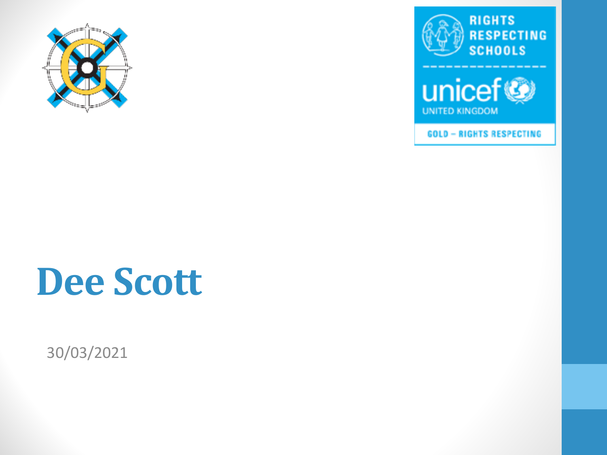





**GOLD - RIGHTS RESPECTING** 

#### **Dee Scott**

30/03/2021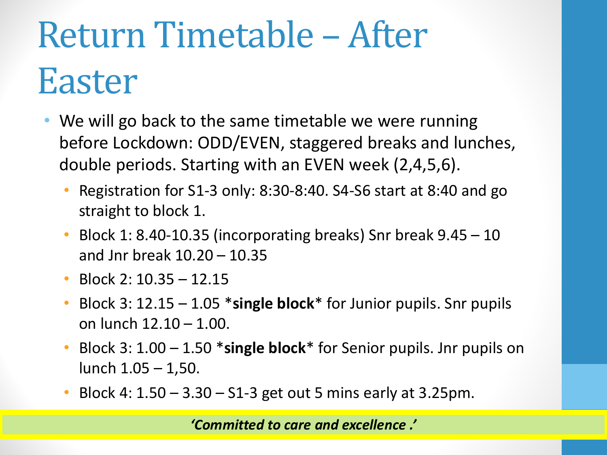## Return Timetable – After Easter

- We will go back to the same timetable we were running before Lockdown: ODD/EVEN, staggered breaks and lunches, double periods. Starting with an EVEN week (2,4,5,6).
	- Registration for S1-3 only: 8:30-8:40. S4-S6 start at 8:40 and go straight to block 1.
	- Block 1: 8.40-10.35 (incorporating breaks) Snr break 9.45 10 and Jnr break 10.20 – 10.35
	- Block 2: 10.35 12.15
	- Block 3: 12.15 1.05 \***single block**\* for Junior pupils. Snr pupils on lunch 12.10 – 1.00.
	- Block 3: 1.00 1.50 \***single block**\* for Senior pupils. Jnr pupils on lunch 1.05 – 1,50.
	- Block 4:  $1.50 3.30 S1-3$  get out 5 mins early at 3.25pm.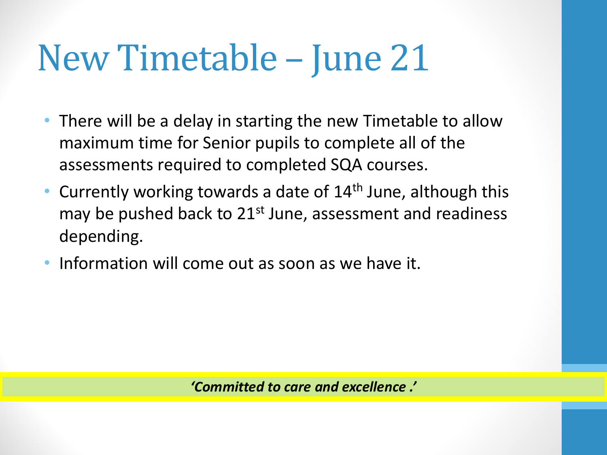### New Timetable – June 21

- There will be a delay in starting the new Timetable to allow maximum time for Senior pupils to complete all of the assessments required to completed SQA courses.
- Currently working towards a date of  $14<sup>th</sup>$  June, although this may be pushed back to  $21^{st}$  June, assessment and readiness depending.
- Information will come out as soon as we have it.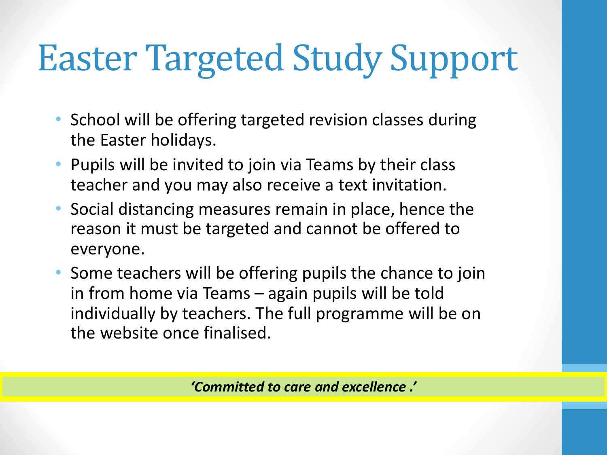## Easter Targeted Study Support

- School will be offering targeted revision classes during the Easter holidays.
- Pupils will be invited to join via Teams by their class teacher and you may also receive a text invitation.
- Social distancing measures remain in place, hence the reason it must be targeted and cannot be offered to everyone.
- Some teachers will be offering pupils the chance to join in from home via Teams – again pupils will be told individually by teachers. The full programme will be on the website once finalised.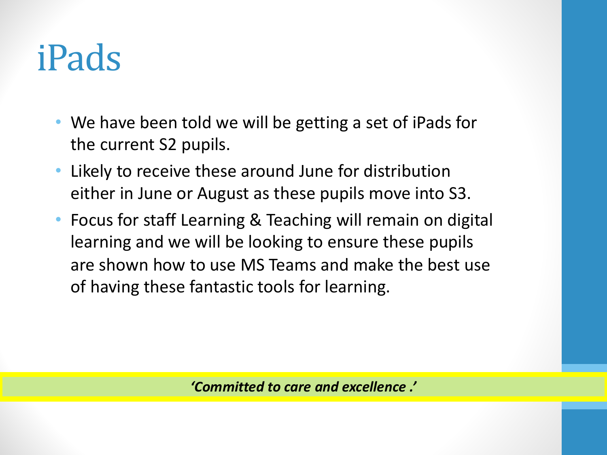#### iPads

- We have been told we will be getting a set of iPads for the current S2 pupils.
- Likely to receive these around June for distribution either in June or August as these pupils move into S3.
- Focus for staff Learning & Teaching will remain on digital learning and we will be looking to ensure these pupils are shown how to use MS Teams and make the best use of having these fantastic tools for learning.